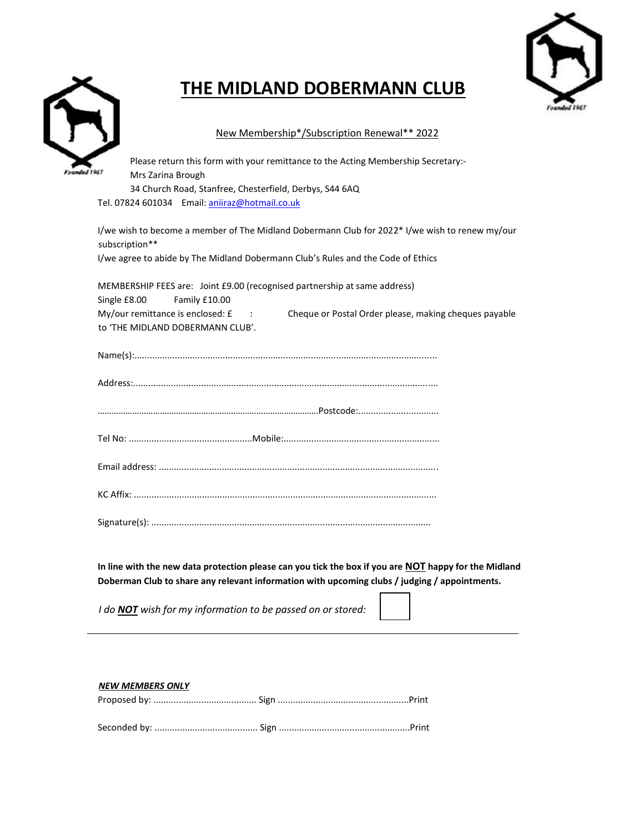## **THE MIDLAND DOBERMANN CLUB**



## New Membership\*/Subscription Renewal\*\* 2022

| Please return this form with your remittance to the Acting Membership Secretary:-<br>Mrs Zarina Brough           |
|------------------------------------------------------------------------------------------------------------------|
|                                                                                                                  |
| 34 Church Road, Stanfree, Chesterfield, Derbys, S44 6AQ                                                          |
| Tel. 07824 601034 Email: aniiraz@hotmail.co.uk                                                                   |
| I/we wish to become a member of The Midland Dobermann Club for 2022* I/we wish to renew my/our<br>subscription** |
| I/we agree to abide by The Midland Dobermann Club's Rules and the Code of Ethics                                 |
| MEMBERSHIP FEES are: Joint £9.00 (recognised partnership at same address)                                        |

Single £8.00 Family £10.00 My/our remittance is enclosed: £ : Cheque or Postal Order please, making cheques payable to 'THE MIDLAND DOBERMANN CLUB'.

**In line with the new data protection please can you tick the box if you are NOT happy for the Midland Doberman Club to share any relevant information with upcoming clubs / judging / appointments.** 

*I do NOT wish for my information to be passed on or stored:* 

## *NEW MEMBERS ONLY*

Proposed by: ......................................... Sign ....................................................Print

Seconded by: ......................................... Sign ....................................................Print